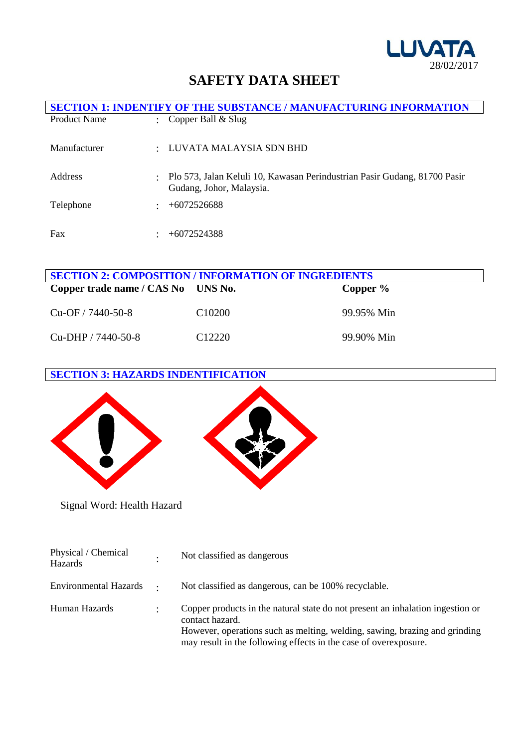

# **SAFETY DATA SHEET**

|                     | <b>SECTION 1: INDENTIFY OF THE SUBSTANCE / MANUFACTURING INFORMATION</b>                              |
|---------------------|-------------------------------------------------------------------------------------------------------|
| <b>Product Name</b> | Copper Ball & Slug                                                                                    |
| Manufacturer        | LUVATA MALAYSIA SDN BHD                                                                               |
| Address             | Plo 573, Jalan Keluli 10, Kawasan Perindustrian Pasir Gudang, 81700 Pasir<br>Gudang, Johor, Malaysia. |
| Telephone           | $+6072526688$                                                                                         |
| Fax                 | $+6072524388$                                                                                         |

| <b>SECTION 2: COMPOSITION / INFORMATION OF INGREDIENTS</b> |                    |            |  |
|------------------------------------------------------------|--------------------|------------|--|
| Copper trade name / CAS No UNS No.                         |                    | Copper $%$ |  |
| $Cu-OF / 7440-50-8$                                        | C <sub>10200</sub> | 99.95% Min |  |
| $Cu-DHP / 7440-50-8$                                       | C <sub>12220</sub> | 99.90% Min |  |

# **SECTION 3: HAZARDS INDENTIFICATION**



Signal Word: Health Hazard

| Physical / Chemical<br>Hazards |                      | Not classified as dangerous                                                                                                                                                                                                                         |
|--------------------------------|----------------------|-----------------------------------------------------------------------------------------------------------------------------------------------------------------------------------------------------------------------------------------------------|
| Environmental Hazards .        |                      | Not classified as dangerous, can be 100% recyclable.                                                                                                                                                                                                |
| Human Hazards                  | $\ddot{\phantom{a}}$ | Copper products in the natural state do not present an inhalation ingestion or<br>contact hazard.<br>However, operations such as melting, welding, sawing, brazing and grinding<br>may result in the following effects in the case of overexposure. |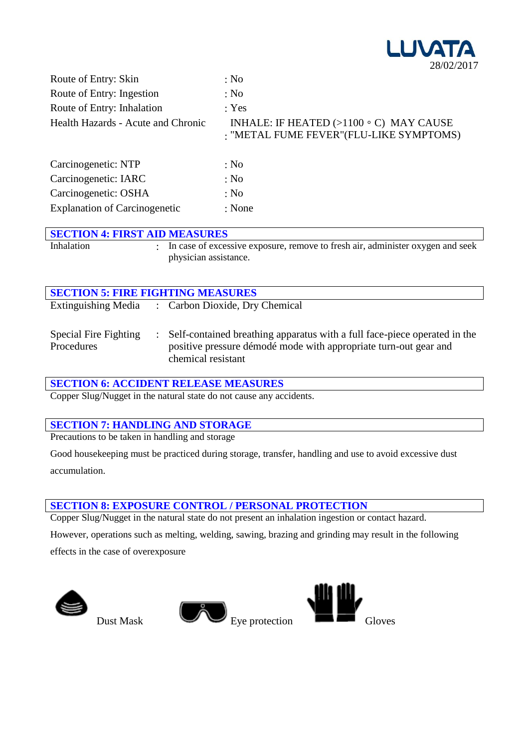

| Route of Entry: Skin                 | : No                                                                                      |
|--------------------------------------|-------------------------------------------------------------------------------------------|
| Route of Entry: Ingestion            | : No                                                                                      |
| Route of Entry: Inhalation           | : Yes                                                                                     |
| Health Hazards - Acute and Chronic   | INHALE: IF HEATED $(>1100 \circ C)$ MAY CAUSE<br>: "METAL FUME FEVER" (FLU-LIKE SYMPTOMS) |
| Carcinogenetic: NTP                  | : No                                                                                      |
| Carcinogenetic: IARC                 | : No                                                                                      |
| Carcinogenetic: OSHA                 | : No                                                                                      |
| <b>Explanation of Carcinogenetic</b> | : None                                                                                    |

| <b>SECTION 4: FIRST AID MEASURES</b> |                                                                                                           |
|--------------------------------------|-----------------------------------------------------------------------------------------------------------|
| Inhalation                           | : In case of excessive exposure, remove to fresh air, administer oxygen and seek<br>physician assistance. |

| <b>SECTION 5: FIRE FIGHTING MEASURES</b> |                                                                                                                                                                       |  |  |
|------------------------------------------|-----------------------------------------------------------------------------------------------------------------------------------------------------------------------|--|--|
|                                          | Extinguishing Media : Carbon Dioxide, Dry Chemical                                                                                                                    |  |  |
| Special Fire Fighting<br>Procedures      | : Self-contained breathing apparatus with a full face-piece operated in the<br>positive pressure démodé mode with appropriate turn-out gear and<br>chemical resistant |  |  |

#### **SECTION 6: ACCIDENT RELEASE MEASURES**

Copper Slug/Nugget in the natural state do not cause any accidents.

#### **SECTION 7: HANDLING AND STORAGE**

Precautions to be taken in handling and storage

Good housekeeping must be practiced during storage, transfer, handling and use to avoid excessive dust accumulation.

#### **SECTION 8: EXPOSURE CONTROL / PERSONAL PROTECTION**

Copper Slug/Nugget in the natural state do not present an inhalation ingestion or contact hazard.

However, operations such as melting, welding, sawing, brazing and grinding may result in the following effects in the case of overexposure





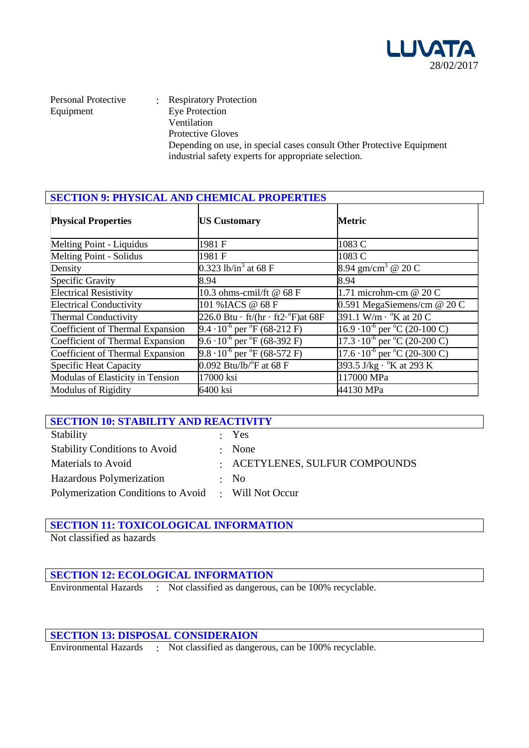

Personal Protective Equipment

: Respiratory Protection Eye Protection Ventilation Protective Gloves Depending on use, in special cases consult Other Protective Equipment industrial safety experts for appropriate selection.

| <b>SECTION 9: PHYSICAL AND CHEMICAL PROPERTIES</b> |                                                        |                                                  |  |
|----------------------------------------------------|--------------------------------------------------------|--------------------------------------------------|--|
| <b>Physical Properties</b>                         | <b>US Customary</b>                                    | Metric                                           |  |
| Melting Point - Liquidus                           | 1981 F                                                 | 1083 C                                           |  |
| Melting Point - Solidus                            | 1981 F                                                 | 1083 C                                           |  |
| Density                                            | 0.323 lb/in <sup>3</sup> at 68 F                       | 8.94 gm/cm <sup>3</sup> @ 20 C                   |  |
| Specific Gravity                                   | 8.94                                                   | 8.94                                             |  |
| <b>Electrical Resistivity</b>                      | 10.3 ohms-cmil/ft @ 68 F                               | 1.71 microhm-cm @ 20 C                           |  |
| <b>Electrical Conductivity</b>                     | 101 % IACS @ 68 F                                      | 0.591 MegaSiemens/cm @ 20 C                      |  |
| <b>Thermal Conductivity</b>                        | 226.0 Btu $\cdot$ ft/(hr $\cdot$ ft2 $\cdot$ °F)at 68F | 391.1 W/m · °K at 20 C                           |  |
| Coefficient of Thermal Expansion                   | 9.4 $\cdot 10^{-6}$ per $\mathrm{^oF}$ (68-212 F)      | $16.9 \cdot 10^{-6}$ per °C (20-100 C)           |  |
| Coefficient of Thermal Expansion                   | $9.6 \cdot 10^{-6}$ per ${}^{\circ}$ F (68-392 F)      | $17.3 \cdot 10^{-6}$ per °C (20-200 C)           |  |
| Coefficient of Thermal Expansion                   | 9.8 $\cdot 10^{-6}$ per $\mathrm{^oF}$ (68-572 F)      | $17.6 \cdot 10^{-6}$ per $^{\circ}$ C (20-300 C) |  |
| Specific Heat Capacity                             | $0.092$ Btu/lb/ $\mathrm{^{\circ}F}$ at 68 F           | 393.5 J/kg $\cdot$ °K at 293 K                   |  |
| Modulas of Elasticity in Tension                   | 17000 ksi                                              | 117000 MPa                                       |  |
| Modulus of Rigidity                                | 6400 ksi                                               | 44130 MPa                                        |  |

| <b>SECTION 10: STABILITY AND REACTIVITY</b> |                       |                                |  |
|---------------------------------------------|-----------------------|--------------------------------|--|
| Stability                                   |                       | : Yes                          |  |
| <b>Stability Conditions to Avoid</b>        | $\bullet$ . $\bullet$ | None                           |  |
| Materials to Avoid                          |                       | : ACETYLENES, SULFUR COMPOUNDS |  |
| Hazardous Polymerization                    |                       | $\cdot$ No                     |  |
| Polymerization Conditions to Avoid          |                       | $\therefore$ Will Not Occur    |  |

# **SECTION 11: TOXICOLOGICAL INFORMATION**

Not classified as hazards

#### **SECTION 12: ECOLOGICAL INFORMATION**

Environmental Hazards : Not classified as dangerous, can be 100% recyclable.

#### **SECTION 13: DISPOSAL CONSIDERAION**

Environmental Hazards : Not classified as dangerous, can be 100% recyclable.